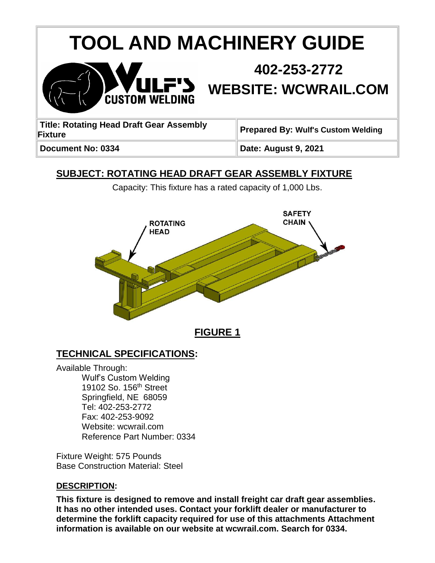# **TOOL AND MACHINERY GUIDE**



# **402-253-2772 WEBSITE: WCWRAIL.COM**

| <b>Title: Rotating Head Draft Gear Assembly</b><br><b>Fixture</b> | Prepared By: Wulf's Custom Welding |
|-------------------------------------------------------------------|------------------------------------|
| Document No: 0334                                                 | Date: August 9, 2021               |

# **SUBJECT: ROTATING HEAD DRAFT GEAR ASSEMBLY FIXTURE**

Capacity: This fixture has a rated capacity of 1,000 Lbs.



**FIGURE 1**

# **TECHNICAL SPECIFICATIONS:**

Available Through: Wulf's Custom Welding 19102 So. 156<sup>th</sup> Street Springfield, NE 68059 Tel: 402-253-2772 Fax: 402-253-9092 Website: wcwrail.com Reference Part Number: 0334

Fixture Weight: 575 Pounds Base Construction Material: Steel

#### **DESCRIPTION:**

**This fixture is designed to remove and install freight car draft gear assemblies. It has no other intended uses. Contact your forklift dealer or manufacturer to determine the forklift capacity required for use of this attachments Attachment information is available on our website at wcwrail.com. Search for 0334.**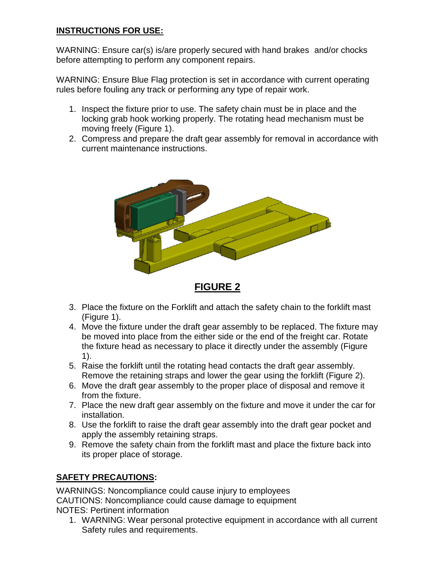#### **INSTRUCTIONS FOR USE:**

WARNING: Ensure car(s) is/are properly secured with hand brakes and/or chocks before attempting to perform any component repairs.

WARNING: Ensure Blue Flag protection is set in accordance with current operating rules before fouling any track or performing any type of repair work.

- 1. Inspect the fixture prior to use. The safety chain must be in place and the locking grab hook working properly. The rotating head mechanism must be moving freely (Figure 1).
- 2. Compress and prepare the draft gear assembly for removal in accordance with current maintenance instructions.



**FIGURE 2**

- 3. Place the fixture on the Forklift and attach the safety chain to the forklift mast (Figure 1).
- 4. Move the fixture under the draft gear assembly to be replaced. The fixture may be moved into place from the either side or the end of the freight car. Rotate the fixture head as necessary to place it directly under the assembly (Figure 1).
- 5. Raise the forklift until the rotating head contacts the draft gear assembly. Remove the retaining straps and lower the gear using the forklift (Figure 2).
- 6. Move the draft gear assembly to the proper place of disposal and remove it from the fixture.
- 7. Place the new draft gear assembly on the fixture and move it under the car for installation.
- 8. Use the forklift to raise the draft gear assembly into the draft gear pocket and apply the assembly retaining straps.
- 9. Remove the safety chain from the forklift mast and place the fixture back into its proper place of storage.

### **SAFETY PRECAUTIONS:**

WARNINGS: Noncompliance could cause injury to employees CAUTIONS: Noncompliance could cause damage to equipment NOTES: Pertinent information

1. WARNING: Wear personal protective equipment in accordance with all current Safety rules and requirements.